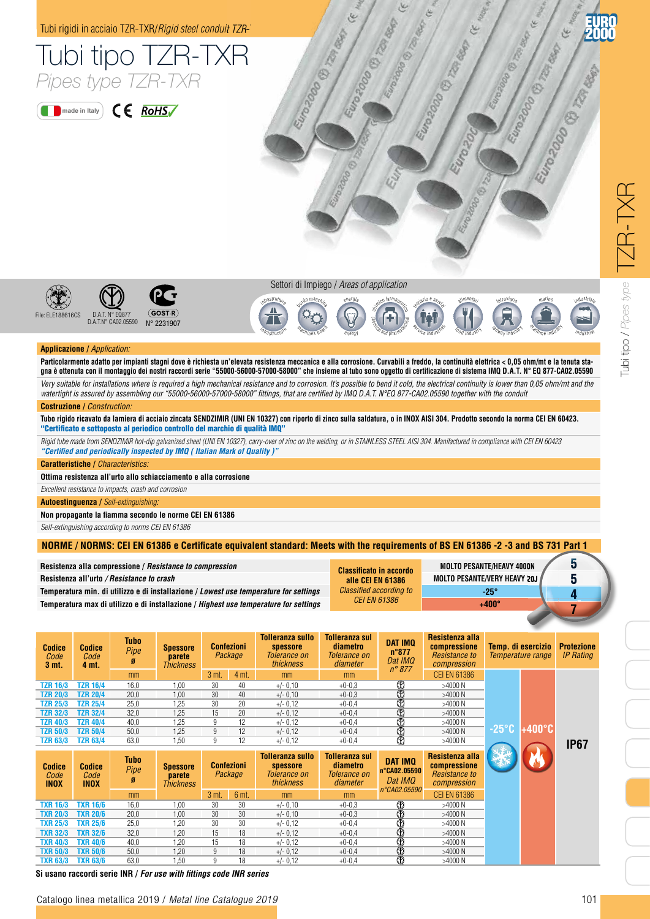

Catalogo linea metallica 2015 / *Metal line Catalogue 2015*